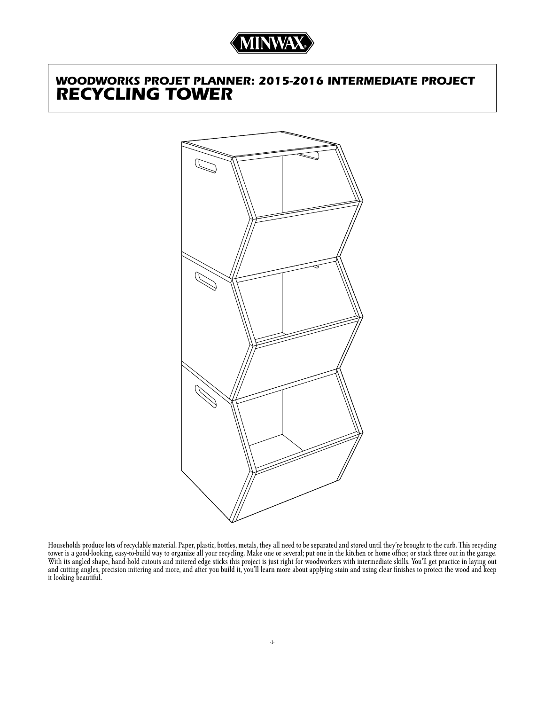# *WOODWORKS PROJET PLANNER: 2015-2016 INTERMEDIATE PROJECT RECYCLING TOWER*



Households produce lots of recyclable material. Paper, plastic, bottles, metals, they all need to be separated and stored until they're brought to the curb. This recycling tower is a good-looking, easy-to-build way to organize all your recycling. Make one or several; put one in the kitchen or home office; or stack three out in the garage. With its angled shape, hand-hold cutouts and mitered edge sticks this project is just right for woodworkers with intermediate skills. You'll get practice in laying out and cutting angles, precision mitering and more, and after you build it, you'll learn more about applying stain and using clear finishes to protect the wood and keep it looking beautiful.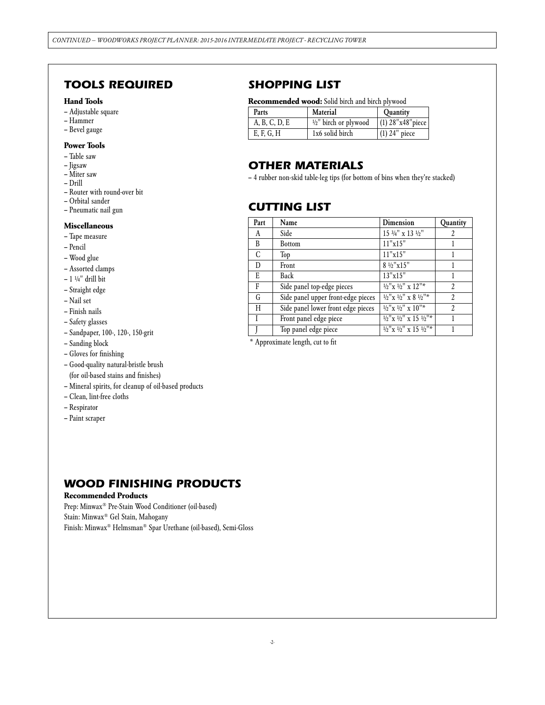## *TOOLS REQUIRED*

#### **Hand Tools**

- Adjustable square
- Hammer
- Bevel gauge

### **Power Tools**

- Table saw
- Jigsaw
- Miter saw
- Drill
- Router with round-over bit
- Orbital sander
- Pneumatic nail gun

#### **Miscellaneous**

- Tape measure
- Pencil
- Wood glue
- Assorted clamps
- 1 $\frac{1}{4}$ " drill bit
- Straight edge
- Nail set
- Finish nails
- Safety glasses
- Sandpaper, 100-, 120-, 150-grit
- Sanding block
- Gloves for finishing
- Good-quality natural-bristle brush (for oil-based stains and finishes)
- Mineral spirits, for cleanup of oil-based products
- Clean, lint-free cloths
- Respirator
- Paint scraper

## *SHOPPING LIST*

#### **Recommended wood:** Solid birch and birch plywood

| Parts         | Material                         | <b>Ouantity</b>     |
|---------------|----------------------------------|---------------------|
| A, B, C, D, E | $\frac{1}{2}$ " birch or plywood | $(1)$ 28"x48" piece |
| E, F, G, H    | 1x6 solid birch                  | $(1)$ 24" piece     |

## *OTHER MATERIALS*

– 4 rubber non-skid table-leg tips (for bottom of bins when they're stacked)

## *CUTTING LIST*

| Part | Name                               | <b>Dimension</b>                          | Quantity       |
|------|------------------------------------|-------------------------------------------|----------------|
| A    | Side                               | $15$ $\frac{3}{4}$ " x 13 $\frac{1}{2}$ " | 2              |
| B    | <b>Bottom</b>                      | 11"x15"                                   |                |
| C    | Top                                | 11"x15"                                   |                |
| D    | Front                              | 8 1/2"x15"                                |                |
| E    | Back                               | 13"x15"                                   |                |
| F    | Side panel top-edge pieces         | $1/2$ " x $1/2$ " x $12$ "*               | $\overline{2}$ |
| G    | Side panel upper front-edge pieces | $1/2$ " x $1/2$ " x $8$ $1/2$ "*          | $\overline{2}$ |
| H    | Side panel lower front edge pieces | $1/2$ "x $1/2$ " x $10$ "*                | $\overline{c}$ |
|      | Front panel edge piece             | $1/2$ " x $1/2$ " x 15 $1/2$ "*           |                |
|      | Top panel edge piece               | $1/2$ " x $1/2$ " x 15 $1/2$ "*           |                |

\* Approximate length, cut to fit

## *WOOD FINISHING PRODUCTS*

#### **Recommended Products**

Prep: Minwax® Pre-Stain Wood Conditioner (oil-based) Stain: Minwax® Gel Stain, Mahogany Finish: Minwax® Helmsman® Spar Urethane (oil-based), Semi-Gloss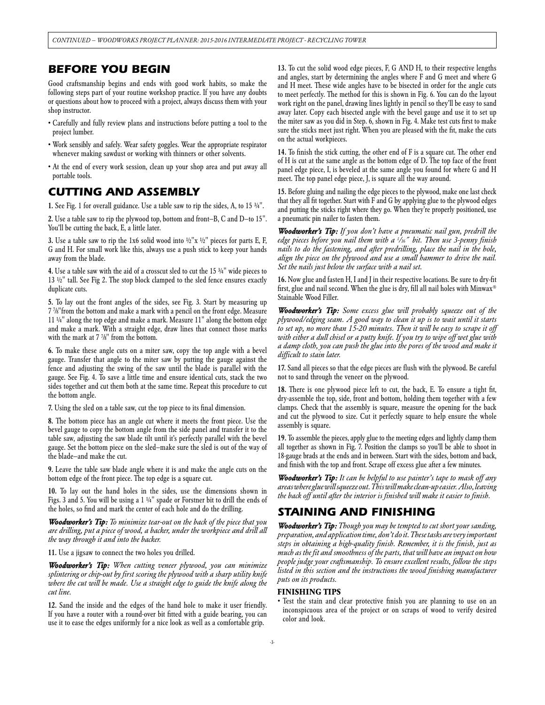## *BEFORE YOU BEGIN*

Good craftsmanship begins and ends with good work habits, so make the following steps part of your routine workshop practice. If you have any doubts or questions about how to proceed with a project, always discuss them with your shop instructor.

- Carefully and fully review plans and instructions before putting a tool to the project lumber.
- Work sensibly and safely. Wear safety goggles. Wear the appropriate respirator whenever making sawdust or working with thinners or other solvents.
- At the end of every work session, clean up your shop area and put away all portable tools.

## *CUTTING AND ASSEMBLY*

1. See Fig. 1 for overall guidance. Use a table saw to rip the sides, A, to 15 ¾".

2. Use a table saw to rip the plywood top, bottom and front—B, C and D—to 15". You'll be cutting the back, E, a little later.

3. Use a table saw to rip the 1x6 solid wood into  $1/2$ " x  $1/2$ " pieces for parts E, F, G and H. For small work like this, always use a push stick to keep your hands away from the blade.

4. Use a table saw with the aid of a crosscut sled to cut the 15 ¾" wide pieces to 13 ½" tall. See Fig 2. The stop block clamped to the sled fence ensures exactly duplicate cuts.

5. To lay out the front angles of the sides, see Fig. 3. Start by measuring up 7 7 /8"from the bottom and make a mark with a pencil on the front edge. Measure 11 ¼" along the top edge and make a mark. Measure 11" along the bottom edge and make a mark. With a straight edge, draw lines that connect those marks with the mark at 7 7 /8" from the bottom.

6. To make these angle cuts on a miter saw, copy the top angle with a bevel gauge. Transfer that angle to the miter saw by putting the gauge against the fence and adjusting the swing of the saw until the blade is parallel with the gauge. See Fig. 4. To save a little time and ensure identical cuts, stack the two sides together and cut them both at the same time. Repeat this procedure to cut the bottom angle.

7. Using the sled on a table saw, cut the top piece to its final dimension.

8. The bottom piece has an angle cut where it meets the front piece. Use the bevel gauge to copy the bottom angle from the side panel and transfer it to the table saw, adjusting the saw blade tilt until it's perfectly parallel with the bevel gauge. Set the bottom piece on the sled—make sure the sled is out of the way of the blade—and make the cut.

9. Leave the table saw blade angle where it is and make the angle cuts on the bottom edge of the front piece. The top edge is a square cut.

10. To lay out the hand holes in the sides, use the dimensions shown in Figs. 3 and 5. You will be using a 1 ¼" spade or Forstner bit to drill the ends of the holes, so find and mark the center of each hole and do the drilling.

*Woodworker's Tip: To minimize tear-out on the back of the piece that you are drilling, put a piece of wood, a backer, under the workpiece and drill all the way through it and into the backer.* 

11. Use a jigsaw to connect the two holes you drilled.

*Woodworker's Tip: When cutting veneer plywood, you can minimize splintering or chip-out by first scoring the plywood with a sharp utility knife*  where the cut will be made. Use a straight edge to guide the knife along the *cut line.*

12. Sand the inside and the edges of the hand hole to make it user friendly. If you have a router with a round-over bit fitted with a guide bearing, you can use it to ease the edges uniformly for a nice look as well as a comfortable grip.

13. To cut the solid wood edge pieces, F, G AND H, to their respective lengths and angles, start by determining the angles where F and G meet and where G and H meet. These wide angles have to be bisected in order for the angle cuts to meet perfectly. The method for this is shown in Fig. 6. You can do the layout work right on the panel, drawing lines lightly in pencil so they'll be easy to sand away later. Copy each bisected angle with the bevel gauge and use it to set up the miter saw as you did in Step. 6, shown in Fig. 4. Make test cuts first to make sure the sticks meet just right. When you are pleased with the fit, make the cuts on the actual workpieces.

14. To finish the stick cutting, the other end of F is a square cut. The other end of H is cut at the same angle as the bottom edge of D. The top face of the front panel edge piece, I, is beveled at the same angle you found for where G and H meet. The top panel edge piece, J, is square all the way around.

15. Before gluing and nailing the edge pieces to the plywood, make one last check that they all fit together. Start with F and G by applying glue to the plywood edges and putting the sticks right where they go. When they're properly positioned, use a pneumatic pin nailer to fasten them.

*Woodworker's Tip: If you don't have a pneumatic nail gun, predrill the edge pieces before you nail them with a 1 /16 ˝ bit. Then use 3-penny finish nails to do the fastening, and after predrilling, place the nail in the hole, align the piece on the plywood and use a small hammer to drive the nail. Set the nails just below the surface with a nail set.*

16. Now glue and fasten H, I and J in their respective locations. Be sure to dry-fit first, glue and nail second. When the glue is dry, fill all nail holes with Minwax® Stainable Wood Filler.

*Woodworker's Tip: Some excess glue will probably squeeze out of the plywood/edging seam. A good way to clean it up is to wait until it starts*  to set up, no more than 15-20 minutes. Then it will be easy to scrape it off with either a dull chisel or a putty knife. If you try to wipe off wet glue with *a damp cloth, you can push the glue into the pores of the wood and make it difficult to stain later.*

17. Sand all pieces so that the edge pieces are flush with the plywood. Be careful not to sand through the veneer on the plywood.

18. There is one plywood piece left to cut, the back, E. To ensure a tight fit, dry-assemble the top, side, front and bottom, holding them together with a few clamps. Check that the assembly is square, measure the opening for the back and cut the plywood to size. Cut it perfectly square to help ensure the whole assembly is square.

19. To assemble the pieces, apply glue to the meeting edges and lightly clamp them all together as shown in Fig. 7. Position the clamps so you'll be able to shoot in 18-gauge brads at the ends and in between. Start with the sides, bottom and back, and finish with the top and front. Scrape off excess glue after a few minutes.

*Woodworker's Tip: It can be helpful to use painter's tape to mask off any areas where glue will squeeze out. This will make clean-up easier. Also, leaving the back off until after the interior is finished will make it easier to finish.*

## *STAINING AND FINISHING*

*Woodworker's Tip: Though you may be tempted to cut short your sanding, preparation, and application time, don't do it. These tasks are very important steps in obtaining a high-quality finish. Remember, it is the finish, just as much as the fit and smoothness of the parts, that will have an impact on how people judge your craftsmanship. To ensure excellent results, follow the steps listed in this section and the instructions the wood finishing manufacturer puts on its products.*

#### **Finishing Tips**

• Test the stain and clear protective finish you are planning to use on an inconspicuous area of the project or on scraps of wood to verify desired color and look.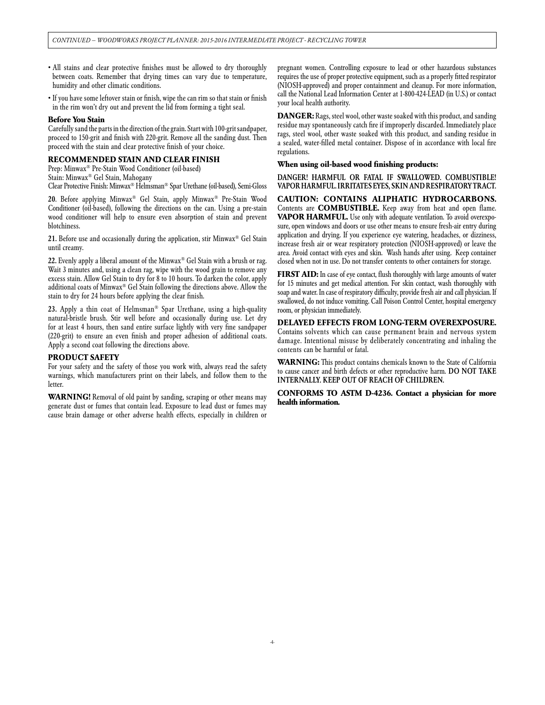- All stains and clear protective finishes must be allowed to dry thoroughly between coats. Remember that drying times can vary due to temperature, humidity and other climatic conditions.
- If you have some leftover stain or finish, wipe the can rim so that stain or finish in the rim won't dry out and prevent the lid from forming a tight seal.

#### **Before You Stain**

Carefully sand the parts in the direction of the grain. Start with 100-grit sandpaper, proceed to 150-grit and finish with 220-grit. Remove all the sanding dust. Then proceed with the stain and clear protective finish of your choice.

#### **RECOMMENDED STAIN AND CLEAR FINISH**

Prep: Minwax® Pre-Stain Wood Conditioner (oil-based)

Stain: Minwax® Gel Stain, Mahogany

Clear Protective Finish: Minwax® Helmsman® Spar Urethane (oil-based), Semi-Gloss

20. Before applying Minwax® Gel Stain, apply Minwax® Pre-Stain Wood Conditioner (oil-based), following the directions on the can. Using a pre-stain wood conditioner will help to ensure even absorption of stain and prevent blotchiness.

21. Before use and occasionally during the application, stir Minwax® Gel Stain until creamy.

22. Evenly apply a liberal amount of the Minwax® Gel Stain with a brush or rag. Wait 3 minutes and, using a clean rag, wipe with the wood grain to remove any excess stain. Allow Gel Stain to dry for 8 to 10 hours. To darken the color, apply additional coats of Minwax® Gel Stain following the directions above. Allow the stain to dry for 24 hours before applying the clear finish.

23. Apply a thin coat of Helmsman® Spar Urethane, using a high-quality natural-bristle brush. Stir well before and occasionally during use. Let dry for at least 4 hours, then sand entire surface lightly with very fine sandpaper (220-grit) to ensure an even finish and proper adhesion of additional coats. Apply a second coat following the directions above.

#### **PRODUCT SAFETY**

For your safety and the safety of those you work with, always read the safety warnings, which manufacturers print on their labels, and follow them to the letter.

**WARNING!** Removal of old paint by sanding, scraping or other means may generate dust or fumes that contain lead. Exposure to lead dust or fumes may cause brain damage or other adverse health effects, especially in children or pregnant women. Controlling exposure to lead or other hazardous substances requires the use of proper protective equipment, such as a properly fitted respirator (NIOSH-approved) and proper containment and cleanup. For more information, call the National Lead Information Center at 1-800-424-LEAD (in U.S.) or contact your local health authority.

**DANGER:** Rags, steel wool, other waste soaked with this product, and sanding residue may spontaneously catch fire if improperly discarded. Immediately place rags, steel wool, other waste soaked with this product, and sanding residue in a sealed, water-filled metal container. Dispose of in accordance with local fire regulations.

#### **When using oil-based wood finishing products:**

DANGER! HARMFUL OR FATAL IF SWALLOWED. COMBUSTIBLE! VAPOR HARMFUL. IRRITATES EYES, SKIN AND RESPIRATORY TRACT.

**CAUTION: CONTAINS ALIPHATIC HYDROCARBONS.** Contents are **COMBUSTIBLE.** Keep away from heat and open flame. **VAPOR HARMFUL.** Use only with adequate ventilation. To avoid overexposure, open windows and doors or use other means to ensure fresh-air entry during application and drying. If you experience eye watering, headaches, or dizziness, increase fresh air or wear respiratory protection (NIOSH-approved) or leave the area. Avoid contact with eyes and skin. Wash hands after using. Keep container closed when not in use. Do not transfer contents to other containers for storage.

**FIRST AID:** In case of eye contact, flush thoroughly with large amounts of water for 15 minutes and get medical attention. For skin contact, wash thoroughly with soap and water. In case of respiratory difficulty, provide fresh air and call physician. If swallowed, do not induce vomiting. Call Poison Control Center, hospital emergency room, or physician immediately.

**DELAYED EFFECTS FROM LONG-TERM OVEREXPOSURE.** Contains solvents which can cause permanent brain and nervous system damage. Intentional misuse by deliberately concentrating and inhaling the contents can be harmful or fatal.

**WARNING:** This product contains chemicals known to the State of California to cause cancer and birth defects or other reproductive harm. DO NOT TAKE INTERNALLY. KEEP OUT OF REACH OF CHILDREN.

**CONFORMS TO ASTM D-4236. Contact a physician for more health information.**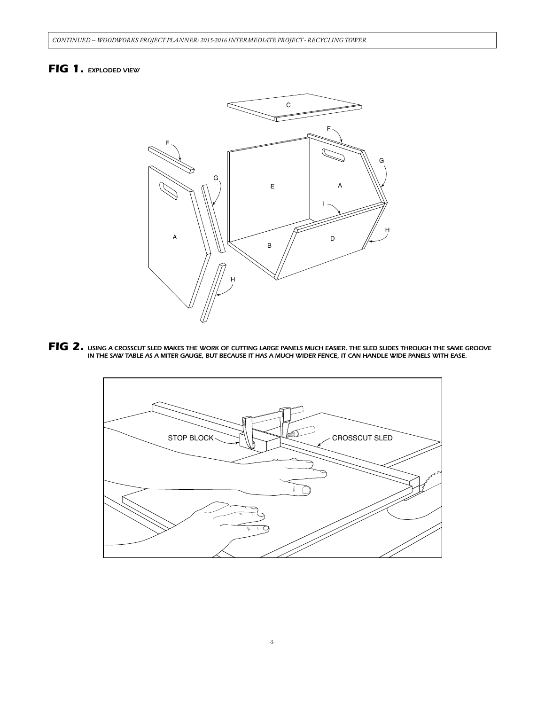## *FIG 1. EXPLODED VIEW*



FIG 2. USING A CROSSCUT SLED MAKES THE WORK OF CUTTING LARGE PANELS MUCH EASIER. THE SLED SLIDES THROUGH THE SAME GROOVE<br>IN THE SAW TABLE AS A MITER GAUGE, BUT BECAUSE IT HAS A MUCH WIDER FENCE, IT CAN HANDLE WIDE PANELS W

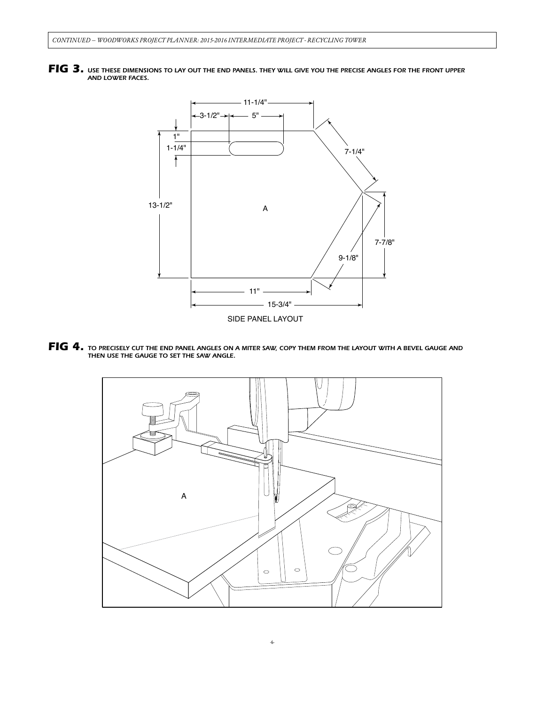



*FIG 4. TO PRECISELY CUT THE END PANEL ANGLES ON A MITER SAW, COPY THEM FROM THE LAYOUT WITH A BEVEL GAUGE AND THEN USE THE GAUGE TO SET THE SAW ANGLE.*

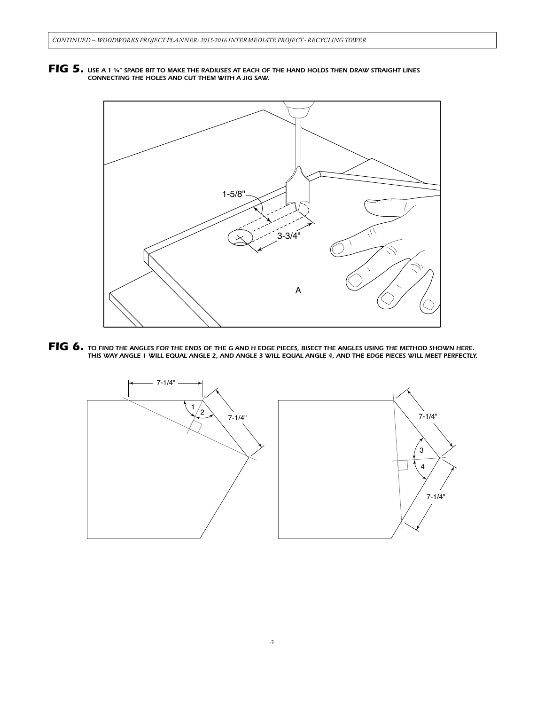*FIG 5. USE A 1 ¼" SPADE BIT TO MAKE THE RADIUSES AT EACH OF THE HAND HOLDS THEN DRAW STRAIGHT LINES CONNECTING THE HOLES AND CUT THEM WITH A JIG SAW.*



FIG 6. TO FIND THE ANGLES FOR THE ENDS OF THE G AND H EDGE PIECES, BISECT THE ANGLES USING THE METHOD SHOWN HERE.<br>THIS WAY ANGLE 1 WILL EQUAL ANGLE 2, AND ANGLE 3 WILL EQUAL ANGLE 4, AND THE EDGE PIECES WILL MEET PERFECTLY